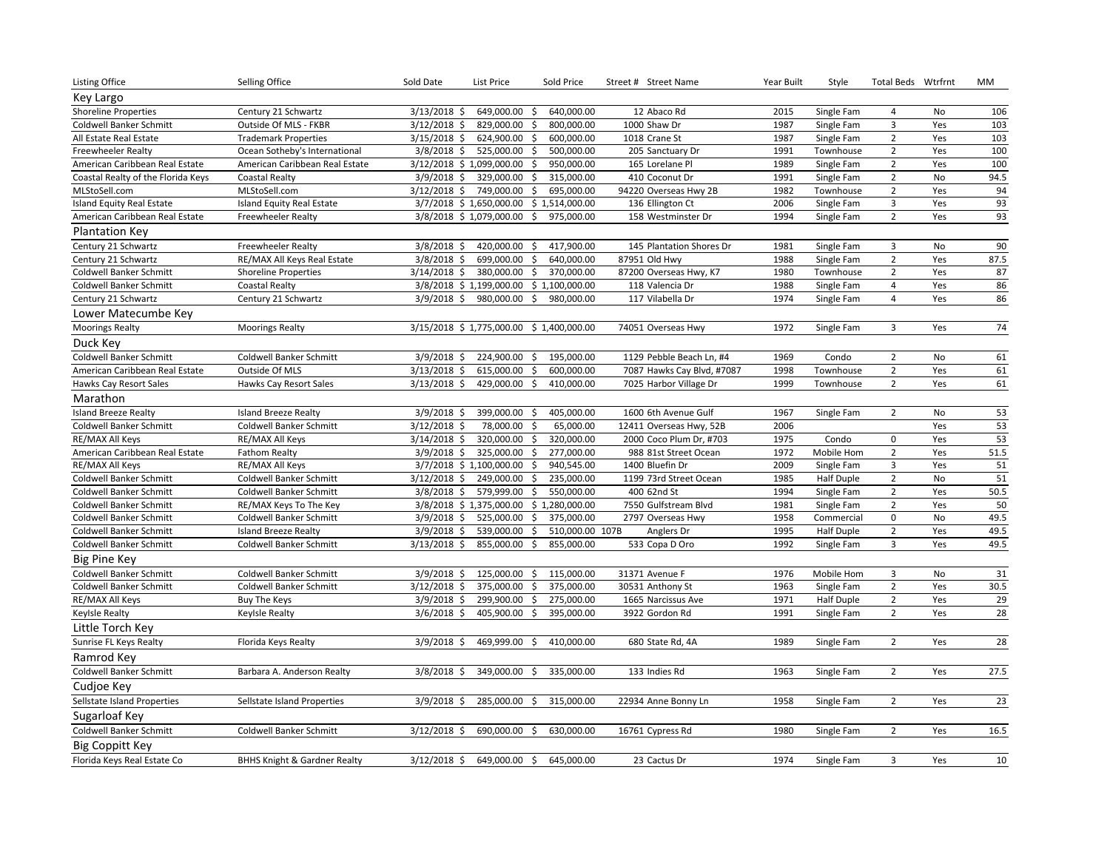| Listing Office                     | Selling Office                          | Sold Date      | List Price                | Sold Price                              | Street # Street Name       | Year Built | Style             | Total Beds Wtrfrnt      |           | МM   |
|------------------------------------|-----------------------------------------|----------------|---------------------------|-----------------------------------------|----------------------------|------------|-------------------|-------------------------|-----------|------|
| Key Largo                          |                                         |                |                           |                                         |                            |            |                   |                         |           |      |
| <b>Shoreline Properties</b>        | Century 21 Schwartz                     | $3/13/2018$ \$ | 649,000.00                | 640,000.00<br>-\$                       | 12 Abaco Rd                | 2015       | Single Fam        | $\overline{4}$          | No        | 106  |
| Coldwell Banker Schmitt            | Outside Of MLS - FKBR                   | $3/12/2018$ \$ | 829,000.00                | 800,000.00<br>Ŝ.                        | 1000 Shaw Dr               | 1987       | Single Fam        | $\mathsf 3$             | Yes       | 103  |
| All Estate Real Estate             | <b>Trademark Properties</b>             | $3/15/2018$ \$ | 624,900.00                | \$<br>600,000.00                        | 1018 Crane St              | 1987       | Single Fam        | $\overline{2}$          | Yes       | 103  |
| <b>Freewheeler Realty</b>          | Ocean Sotheby's International           |                | 3/8/2018 \$ 525,000.00 \$ | 500,000.00                              | 205 Sanctuary Dr           | 1991       | Townhouse         | $\overline{2}$          | Yes       | 100  |
| American Caribbean Real Estate     | American Caribbean Real Estate          |                | 3/12/2018 \$1,099,000.00  | \$<br>950,000.00                        | 165 Lorelane Pl            | 1989       | Single Fam        | $\overline{2}$          | Yes       | 100  |
| Coastal Realty of the Florida Keys | <b>Coastal Realty</b>                   | $3/9/2018$ \$  | 329,000.00                | -\$<br>315,000.00                       | 410 Coconut Dr             | 1991       | Single Fam        | $\overline{2}$          | <b>No</b> | 94.5 |
| MLStoSell.com                      | MLStoSell.com                           | $3/12/2018$ \$ | 749,000.00                | 695,000.00<br>\$                        | 94220 Overseas Hwy 2B      | 1982       | Townhouse         | $\overline{2}$          | Yes       | 94   |
| Island Equity Real Estate          | Island Equity Real Estate               |                | 3/7/2018 \$1,650,000.00   | \$1,514,000.00                          | 136 Ellington Ct           | 2006       | Single Fam        | $\overline{\mathbf{3}}$ | Yes       | 93   |
| American Caribbean Real Estate     | <b>Freewheeler Realty</b>               |                | 3/8/2018 \$1,079,000.00   | Ŝ.<br>975,000.00                        | 158 Westminster Dr         | 1994       | Single Fam        | $\overline{2}$          | Yes       | 93   |
| <b>Plantation Key</b>              |                                         |                |                           |                                         |                            |            |                   |                         |           |      |
| Century 21 Schwartz                | <b>Freewheeler Realty</b>               | $3/8/2018$ \$  | 420,000.00                | 417,900.00<br>- Ś                       | 145 Plantation Shores Dr   | 1981       | Single Fam        | $\overline{3}$          | <b>No</b> | 90   |
| Century 21 Schwartz                | RE/MAX All Keys Real Estate             | $3/8/2018$ \$  | 699,000.00                | 640,000.00<br>\$                        | 87951 Old Hwy              | 1988       | Single Fam        | $\overline{2}$          | Yes       | 87.5 |
| Coldwell Banker Schmitt            | <b>Shoreline Properties</b>             | 3/14/2018 \$   | 380,000.00                | \$<br>370,000.00                        | 87200 Overseas Hwy, K7     | 1980       | Townhouse         | $\overline{2}$          | Yes       | 87   |
| Coldwell Banker Schmitt            | <b>Coastal Realty</b>                   |                | 3/8/2018 \$1,199,000.00   | \$1,100,000.00                          | 118 Valencia Dr            | 1988       | Single Fam        | $\overline{4}$          | Yes       | 86   |
| Century 21 Schwartz                | Century 21 Schwartz                     | $3/9/2018$ \$  | 980,000.00                | \$<br>980,000.00                        | 117 Vilabella Dr           | 1974       | Single Fam        | $\overline{4}$          | Yes       | 86   |
| Lower Matecumbe Key                |                                         |                |                           |                                         |                            |            |                   |                         |           |      |
| <b>Moorings Realty</b>             | <b>Moorings Realty</b>                  |                |                           | 3/15/2018 \$1,775,000.00 \$1,400,000.00 | 74051 Overseas Hwy         | 1972       | Single Fam        | $\overline{3}$          | Yes       | 74   |
| Duck Key                           |                                         |                |                           |                                         |                            |            |                   |                         |           |      |
| Coldwell Banker Schmitt            | Coldwell Banker Schmitt                 | $3/9/2018$ \$  | 224,900.00                | 195,000.00<br>-\$                       | 1129 Pebble Beach Ln, #4   | 1969       | Condo             | $\overline{2}$          | No        | 61   |
| American Caribbean Real Estate     | Outside Of MLS                          | $3/13/2018$ \$ | 615,000.00                | 600,000.00<br>\$                        | 7087 Hawks Cay Blvd, #7087 | 1998       | Townhouse         | $\overline{2}$          | Yes       | 61   |
| Hawks Cay Resort Sales             | Hawks Cay Resort Sales                  | $3/13/2018$ \$ | 429,000.00                | \$<br>410,000.00                        | 7025 Harbor Village Dr     | 1999       | Townhouse         | $\overline{2}$          | Yes       | 61   |
| Marathon                           |                                         |                |                           |                                         |                            |            |                   |                         |           |      |
| <b>Island Breeze Realty</b>        | <b>Island Breeze Realty</b>             | $3/9/2018$ \$  | 399,000.00                | 405,000.00<br>- \$                      | 1600 6th Avenue Gulf       | 1967       | Single Fam        | $\overline{2}$          | No        | 53   |
| Coldwell Banker Schmitt            | Coldwell Banker Schmitt                 | $3/12/2018$ \$ | 78,000.00                 | 65,000.00<br>\$                         | 12411 Overseas Hwy, 52B    | 2006       |                   |                         | Yes       | 53   |
| RE/MAX All Keys                    | RE/MAX All Keys                         | $3/14/2018$ \$ | 320,000.00                | -\$<br>320,000.00                       | 2000 Coco Plum Dr, #703    | 1975       | Condo             | $\mathsf 0$             | Yes       | 53   |
| American Caribbean Real Estate     | <b>Fathom Realty</b>                    | $3/9/2018$ \$  | 325,000.00                | 277,000.00<br>-\$                       | 988 81st Street Ocean      | 1972       | Mobile Hom        | $\overline{2}$          | Yes       | 51.5 |
| RE/MAX All Keys                    | RE/MAX All Keys                         |                | 3/7/2018 \$1,100,000.00   | 940,545.00<br>\$.                       | 1400 Bluefin Dr            | 2009       | Single Fam        | $\overline{\mathbf{3}}$ | Yes       | 51   |
| Coldwell Banker Schmitt            | Coldwell Banker Schmitt                 | $3/12/2018$ \$ | 249,000.00                | \$<br>235,000.00                        | 1199 73rd Street Ocean     | 1985       | <b>Half Duple</b> | $\overline{2}$          | No        | 51   |
| Coldwell Banker Schmitt            | Coldwell Banker Schmitt                 | $3/8/2018$ \$  | 579,999.00                | 550,000.00<br>\$                        | 400 62nd St                | 1994       | Single Fam        | $\overline{2}$          | Yes       | 50.5 |
| Coldwell Banker Schmitt            | RE/MAX Keys To The Key                  |                |                           | 3/8/2018 \$1,375,000.00 \$1,280,000.00  | 7550 Gulfstream Blvd       | 1981       | Single Fam        | $\overline{2}$          | Yes       | 50   |
| Coldwell Banker Schmitt            | Coldwell Banker Schmitt                 | $3/9/2018$ \$  | 525,000.00                | 375,000.00<br>\$                        | 2797 Overseas Hwy          | 1958       | Commercial        | $\mathbf 0$             | <b>No</b> | 49.5 |
| Coldwell Banker Schmitt            | <b>Island Breeze Realty</b>             | $3/9/2018$ \$  | 539,000.00                | \$<br>510,000.00 107B                   | Anglers Dr                 | 1995       | <b>Half Duple</b> | $\mathbf 2$             | Yes       | 49.5 |
| Coldwell Banker Schmitt            | Coldwell Banker Schmitt                 | $3/13/2018$ \$ | 855,000.00                | \$<br>855,000.00                        | 533 Copa D Oro             | 1992       | Single Fam        | $\overline{3}$          | Yes       | 49.5 |
| <b>Big Pine Key</b>                |                                         |                |                           |                                         |                            |            |                   |                         |           |      |
| Coldwell Banker Schmitt            | Coldwell Banker Schmitt                 | $3/9/2018$ \$  | 125,000.00                | 115,000.00<br>\$                        | 31371 Avenue F             | 1976       | Mobile Hom        | 3                       | No        | 31   |
| Coldwell Banker Schmitt            | Coldwell Banker Schmitt                 | $3/12/2018$ \$ | 375,000.00                | Ŝ.<br>375,000.00                        | 30531 Anthony St           | 1963       | Single Fam        | $\mathbf 2$             | Yes       | 30.5 |
| RE/MAX All Keys                    | <b>Buy The Keys</b>                     | $3/9/2018$ \$  | 299,900.00                | 275,000.00<br>\$                        | 1665 Narcissus Ave         | 1971       | <b>Half Duple</b> | $\overline{2}$          | Yes       | 29   |
| <b>Keylsle Realty</b>              | Keylsle Realty                          | $3/6/2018$ \$  | 405,900.00                | 395,000.00<br>Ŝ.                        | 3922 Gordon Rd             | 1991       | Single Fam        | $\overline{2}$          | Yes       | 28   |
| Little Torch Key                   |                                         |                |                           |                                         |                            |            |                   |                         |           |      |
| Sunrise FL Keys Realty             | Florida Keys Realty                     | $3/9/2018$ \$  | 469,999.00                | 410,000.00<br>\$.                       | 680 State Rd, 4A           | 1989       | Single Fam        | $\overline{2}$          | Yes       | 28   |
| Ramrod Key                         |                                         |                |                           |                                         |                            |            |                   |                         |           |      |
| <b>Coldwell Banker Schmitt</b>     | Barbara A. Anderson Realty              | $3/8/2018$ \$  | 349,000.00                | 335,000.00<br>\$                        | 133 Indies Rd              | 1963       | Single Fam        | $\overline{2}$          | Yes       | 27.5 |
| Cudioe Key                         |                                         |                |                           |                                         |                            |            |                   |                         |           |      |
| Sellstate Island Properties        | Sellstate Island Properties             | $3/9/2018$ \$  | 285,000.00                | \$<br>315,000.00                        | 22934 Anne Bonny Ln        | 1958       | Single Fam        | $\overline{2}$          | Yes       | 23   |
| Sugarloaf Key                      |                                         |                |                           |                                         |                            |            |                   |                         |           |      |
| Coldwell Banker Schmitt            | <b>Coldwell Banker Schmitt</b>          | $3/12/2018$ \$ | 690,000.00 \$             | 630,000.00                              | 16761 Cypress Rd           | 1980       | Single Fam        | $\overline{2}$          | Yes       | 16.5 |
| Big Coppitt Key                    |                                         |                |                           |                                         |                            |            |                   |                         |           |      |
| Florida Keys Real Estate Co        | <b>BHHS Knight &amp; Gardner Realty</b> | $3/12/2018$ \$ | 649,000.00 \$             | 645,000.00                              | 23 Cactus Dr               | 1974       | Single Fam        | $\overline{3}$          | Yes       | 10   |